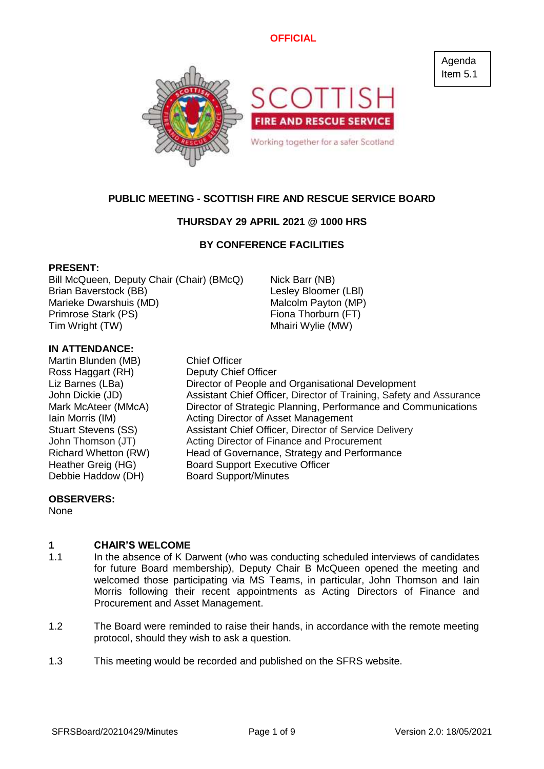

# **PUBLIC MEETING - SCOTTISH FIRE AND RESCUE SERVICE BOARD**

# **THURSDAY 29 APRIL 2021 @ 1000 HRS**

# **BY CONFERENCE FACILITIES**

### **PRESENT:**

Bill McQueen, Deputy Chair (Chair) (BMcQ) Nick Barr (NB) Brian Baverstock (BB) Lesley Bloomer (LBl) Marieke Dwarshuis (MD) Malcolm Payton (MP) Primrose Stark (PS) Fiona Thorburn (FT) Tim Wright (TW) Tim Wright (TW)

# **IN ATTENDANCE:**

Martin Blunden (MB) Chief Officer Ross Haggart (RH) Deputy Chief Officer Debbie Haddow (DH) Board Support/Minutes

Liz Barnes (LBa) Director of People and Organisational Development John Dickie (JD) Assistant Chief Officer, Director of Training, Safety and Assurance Mark McAteer (MMcA) Director of Strategic Planning, Performance and Communications Iain Morris (IM) Acting Director of Asset Management Stuart Stevens (SS) Assistant Chief Officer, Director of Service Delivery John Thomson (JT) Acting Director of Finance and Procurement Richard Whetton (RW) Head of Governance, Strategy and Performance Heather Greig (HG) Board Support Executive Officer

# **OBSERVERS:**

None

#### **1 CHAIR'S WELCOME**

- 1.1 In the absence of K Darwent (who was conducting scheduled interviews of candidates for future Board membership), Deputy Chair B McQueen opened the meeting and welcomed those participating via MS Teams, in particular, John Thomson and Iain Morris following their recent appointments as Acting Directors of Finance and Procurement and Asset Management.
- 1.2 The Board were reminded to raise their hands, in accordance with the remote meeting protocol, should they wish to ask a question.
- 1.3 This meeting would be recorded and published on the SFRS website.

Agenda Item 5.1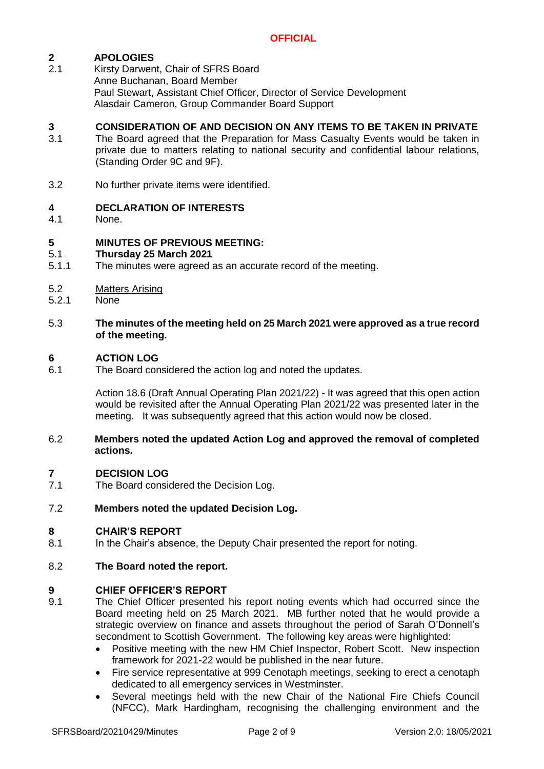#### **2 APOLOGIES**

2.1 Kirsty Darwent, Chair of SFRS Board Anne Buchanan, Board Member Paul Stewart, Assistant Chief Officer, Director of Service Development Alasdair Cameron, Group Commander Board Support

#### **3 CONSIDERATION OF AND DECISION ON ANY ITEMS TO BE TAKEN IN PRIVATE**

- 3.1 The Board agreed that the Preparation for Mass Casualty Events would be taken in private due to matters relating to national security and confidential labour relations, (Standing Order 9C and 9F).
- 3.2 No further private items were identified.

#### **4 DECLARATION OF INTERESTS**

4.1 None.

#### **5 MINUTES OF PREVIOUS MEETING:**

#### 5.1 **Thursday 25 March 2021**

- 5.1.1 The minutes were agreed as an accurate record of the meeting.
- 5.2 Matters Arising
- 5.2.1 None

### 5.3 **The minutes of the meeting held on 25 March 2021 were approved as a true record of the meeting.**

#### **6 ACTION LOG**

6.1 The Board considered the action log and noted the updates.

> Action 18.6 (Draft Annual Operating Plan 2021/22) - It was agreed that this open action would be revisited after the Annual Operating Plan 2021/22 was presented later in the meeting. It was subsequently agreed that this action would now be closed.

### 6.2 **Members noted the updated Action Log and approved the removal of completed actions.**

#### **7 DECISION LOG**

7.1 The Board considered the Decision Log.

#### 7.2 **Members noted the updated Decision Log.**

### **8 CHAIR'S REPORT**

- 8.1 In the Chair's absence, the Deputy Chair presented the report for noting.
- 8.2 **The Board noted the report.**

### **9 CHIEF OFFICER'S REPORT**

- 9.1 The Chief Officer presented his report noting events which had occurred since the Board meeting held on 25 March 2021. MB further noted that he would provide a strategic overview on finance and assets throughout the period of Sarah O'Donnell's secondment to Scottish Government. The following key areas were highlighted:
	- Positive meeting with the new HM Chief Inspector, Robert Scott. New inspection framework for 2021-22 would be published in the near future.
	- Fire service representative at 999 Cenotaph meetings, seeking to erect a cenotaph dedicated to all emergency services in Westminster.
	- Several meetings held with the new Chair of the National Fire Chiefs Council (NFCC), Mark Hardingham, recognising the challenging environment and the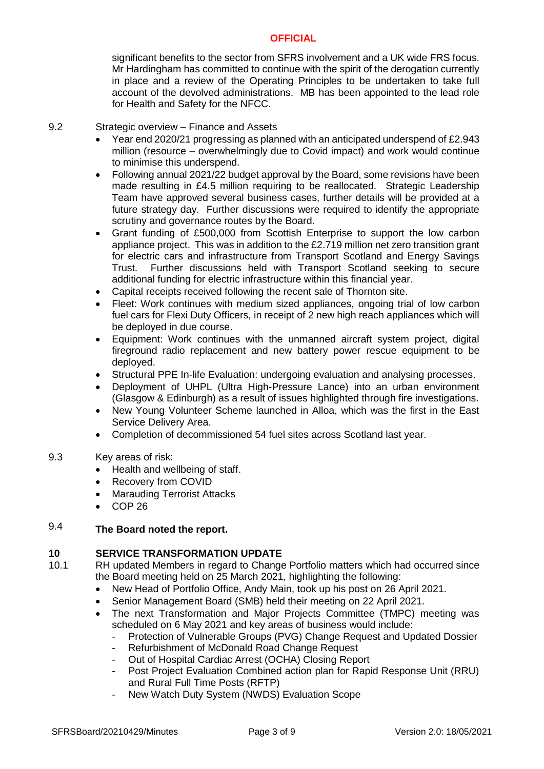significant benefits to the sector from SFRS involvement and a UK wide FRS focus. Mr Hardingham has committed to continue with the spirit of the derogation currently in place and a review of the Operating Principles to be undertaken to take full account of the devolved administrations. MB has been appointed to the lead role for Health and Safety for the NFCC.

#### 9.2 Strategic overview – Finance and Assets

- Year end 2020/21 progressing as planned with an anticipated underspend of £2.943 million (resource – overwhelmingly due to Covid impact) and work would continue to minimise this underspend.
- Following annual 2021/22 budget approval by the Board, some revisions have been made resulting in £4.5 million requiring to be reallocated. Strategic Leadership Team have approved several business cases, further details will be provided at a future strategy day. Further discussions were required to identify the appropriate scrutiny and governance routes by the Board.
- Grant funding of £500,000 from Scottish Enterprise to support the low carbon appliance project. This was in addition to the £2.719 million net zero transition grant for electric cars and infrastructure from Transport Scotland and Energy Savings Trust. Further discussions held with Transport Scotland seeking to secure additional funding for electric infrastructure within this financial year.
- Capital receipts received following the recent sale of Thornton site.
- Fleet: Work continues with medium sized appliances, ongoing trial of low carbon fuel cars for Flexi Duty Officers, in receipt of 2 new high reach appliances which will be deployed in due course.
- Equipment: Work continues with the unmanned aircraft system project, digital fireground radio replacement and new battery power rescue equipment to be deployed.
- Structural PPE In-life Evaluation: undergoing evaluation and analysing processes.
- Deployment of UHPL (Ultra High-Pressure Lance) into an urban environment (Glasgow & Edinburgh) as a result of issues highlighted through fire investigations.
- New Young Volunteer Scheme launched in Alloa, which was the first in the East Service Delivery Area.
- Completion of decommissioned 54 fuel sites across Scotland last year.

#### 9.3 Key areas of risk:

- Health and wellbeing of staff.
- Recovery from COVID
- **Marauding Terrorist Attacks**
- COP 26

### 9.4 **The Board noted the report.**

# **10 SERVICE TRANSFORMATION UPDATE**

- 10.1 RH updated Members in regard to Change Portfolio matters which had occurred since the Board meeting held on 25 March 2021, highlighting the following:
	- New Head of Portfolio Office, Andy Main, took up his post on 26 April 2021.
	- Senior Management Board (SMB) held their meeting on 22 April 2021.
	- The next Transformation and Major Projects Committee (TMPC) meeting was scheduled on 6 May 2021 and key areas of business would include:
		- Protection of Vulnerable Groups (PVG) Change Request and Updated Dossier
		- Refurbishment of McDonald Road Change Request
		- Out of Hospital Cardiac Arrest (OCHA) Closing Report
		- Post Project Evaluation Combined action plan for Rapid Response Unit (RRU) and Rural Full Time Posts (RFTP)
		- New Watch Duty System (NWDS) Evaluation Scope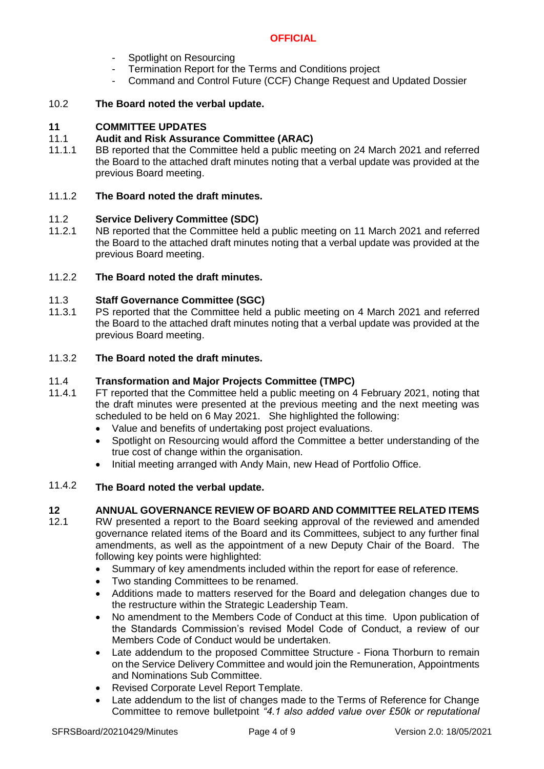- Spotlight on Resourcing
- Termination Report for the Terms and Conditions project
- Command and Control Future (CCF) Change Request and Updated Dossier

#### 10.2 **The Board noted the verbal update.**

# **11 COMMITTEE UPDATES**

#### 11.1 **Audit and Risk Assurance Committee (ARAC)**

11.1.1 BB reported that the Committee held a public meeting on 24 March 2021 and referred the Board to the attached draft minutes noting that a verbal update was provided at the previous Board meeting.

#### 11.1.2 **The Board noted the draft minutes.**

#### 11.2 **Service Delivery Committee (SDC)**

11.2.1 NB reported that the Committee held a public meeting on 11 March 2021 and referred the Board to the attached draft minutes noting that a verbal update was provided at the previous Board meeting.

#### 11.2.2 **The Board noted the draft minutes.**

#### 11.3 **Staff Governance Committee (SGC)**

11.3.1 PS reported that the Committee held a public meeting on 4 March 2021 and referred the Board to the attached draft minutes noting that a verbal update was provided at the previous Board meeting.

#### 11.3.2 **The Board noted the draft minutes.**

#### 11.4 **Transformation and Major Projects Committee (TMPC)**

- 11.4.1 FT reported that the Committee held a public meeting on 4 February 2021, noting that the draft minutes were presented at the previous meeting and the next meeting was scheduled to be held on 6 May 2021. She highlighted the following:
	- Value and benefits of undertaking post project evaluations.
	- Spotlight on Resourcing would afford the Committee a better understanding of the true cost of change within the organisation.
	- Initial meeting arranged with Andy Main, new Head of Portfolio Office.

#### 11.4.2 **The Board noted the verbal update.**

### **12 ANNUAL GOVERNANCE REVIEW OF BOARD AND COMMITTEE RELATED ITEMS**

- 12.1 RW presented a report to the Board seeking approval of the reviewed and amended governance related items of the Board and its Committees, subject to any further final amendments, as well as the appointment of a new Deputy Chair of the Board. The following key points were highlighted:
	- Summary of key amendments included within the report for ease of reference.
	- Two standing Committees to be renamed.
	- Additions made to matters reserved for the Board and delegation changes due to the restructure within the Strategic Leadership Team.
	- No amendment to the Members Code of Conduct at this time. Upon publication of the Standards Commission's revised Model Code of Conduct, a review of our Members Code of Conduct would be undertaken.
	- Late addendum to the proposed Committee Structure Fiona Thorburn to remain on the Service Delivery Committee and would join the Remuneration, Appointments and Nominations Sub Committee.
	- Revised Corporate Level Report Template.
	- Late addendum to the list of changes made to the Terms of Reference for Change Committee to remove bulletpoint *"4.1 also added value over £50k or reputational*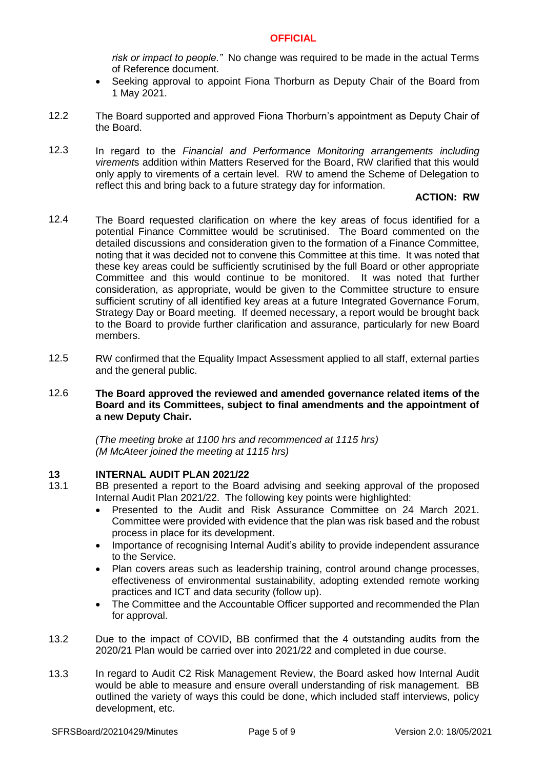*risk or impact to people."* No change was required to be made in the actual Terms of Reference document.

- Seeking approval to appoint Fiona Thorburn as Deputy Chair of the Board from 1 May 2021.
- 12.2 The Board supported and approved Fiona Thorburn's appointment as Deputy Chair of the Board.
- 12.3 In regard to the *Financial and Performance Monitoring arrangements including virement*s addition within Matters Reserved for the Board, RW clarified that this would only apply to virements of a certain level. RW to amend the Scheme of Delegation to reflect this and bring back to a future strategy day for information.

# **ACTION: RW**

- 12.4 The Board requested clarification on where the key areas of focus identified for a potential Finance Committee would be scrutinised. The Board commented on the detailed discussions and consideration given to the formation of a Finance Committee, noting that it was decided not to convene this Committee at this time. It was noted that these key areas could be sufficiently scrutinised by the full Board or other appropriate Committee and this would continue to be monitored. It was noted that further consideration, as appropriate, would be given to the Committee structure to ensure sufficient scrutiny of all identified key areas at a future Integrated Governance Forum, Strategy Day or Board meeting. If deemed necessary, a report would be brought back to the Board to provide further clarification and assurance, particularly for new Board members.
- 12.5 RW confirmed that the Equality Impact Assessment applied to all staff, external parties and the general public.
- 12.6 **The Board approved the reviewed and amended governance related items of the Board and its Committees, subject to final amendments and the appointment of a new Deputy Chair.**

*(The meeting broke at 1100 hrs and recommenced at 1115 hrs) (M McAteer joined the meeting at 1115 hrs)*

# **13 INTERNAL AUDIT PLAN 2021/22**

- 13.1 BB presented a report to the Board advising and seeking approval of the proposed Internal Audit Plan 2021/22. The following key points were highlighted:
	- Presented to the Audit and Risk Assurance Committee on 24 March 2021. Committee were provided with evidence that the plan was risk based and the robust process in place for its development.
	- Importance of recognising Internal Audit's ability to provide independent assurance to the Service.
	- Plan covers areas such as leadership training, control around change processes, effectiveness of environmental sustainability, adopting extended remote working practices and ICT and data security (follow up).
	- The Committee and the Accountable Officer supported and recommended the Plan for approval.
- 13.2 Due to the impact of COVID, BB confirmed that the 4 outstanding audits from the 2020/21 Plan would be carried over into 2021/22 and completed in due course.
- 13.3 In regard to Audit C2 Risk Management Review, the Board asked how Internal Audit would be able to measure and ensure overall understanding of risk management. BB outlined the variety of ways this could be done, which included staff interviews, policy development, etc.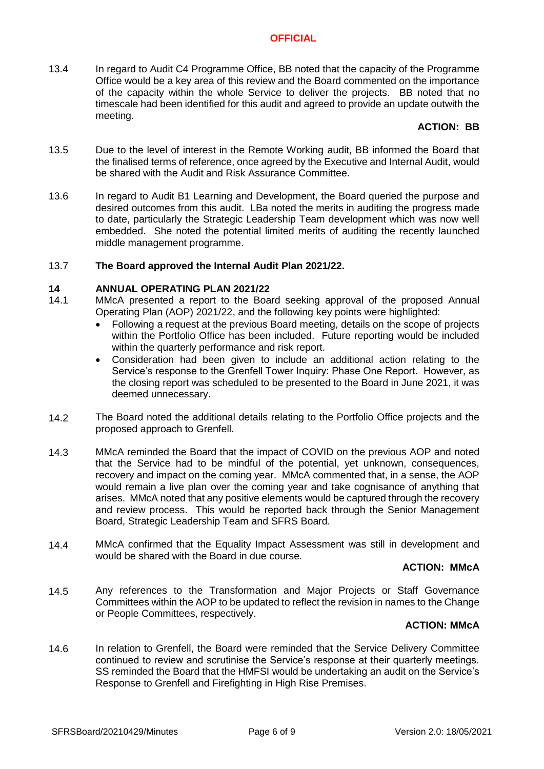13.4 In regard to Audit C4 Programme Office, BB noted that the capacity of the Programme Office would be a key area of this review and the Board commented on the importance of the capacity within the whole Service to deliver the projects. BB noted that no timescale had been identified for this audit and agreed to provide an update outwith the meeting.

# **ACTION: BB**

- 13.5 Due to the level of interest in the Remote Working audit, BB informed the Board that the finalised terms of reference, once agreed by the Executive and Internal Audit, would be shared with the Audit and Risk Assurance Committee.
- 13.6 In regard to Audit B1 Learning and Development, the Board queried the purpose and desired outcomes from this audit. LBa noted the merits in auditing the progress made to date, particularly the Strategic Leadership Team development which was now well embedded. She noted the potential limited merits of auditing the recently launched middle management programme.

#### 13.7 **The Board approved the Internal Audit Plan 2021/22.**

### **14 ANNUAL OPERATING PLAN 2021/22**

- 14.1 MMcA presented a report to the Board seeking approval of the proposed Annual Operating Plan (AOP) 2021/22, and the following key points were highlighted:
	- Following a request at the previous Board meeting, details on the scope of projects within the Portfolio Office has been included. Future reporting would be included within the quarterly performance and risk report.
	- Consideration had been given to include an additional action relating to the Service's response to the Grenfell Tower Inquiry: Phase One Report. However, as the closing report was scheduled to be presented to the Board in June 2021, it was deemed unnecessary.
- 14.2 The Board noted the additional details relating to the Portfolio Office projects and the proposed approach to Grenfell.
- 14.3 MMcA reminded the Board that the impact of COVID on the previous AOP and noted that the Service had to be mindful of the potential, yet unknown, consequences, recovery and impact on the coming year. MMcA commented that, in a sense, the AOP would remain a live plan over the coming year and take cognisance of anything that arises. MMcA noted that any positive elements would be captured through the recovery and review process. This would be reported back through the Senior Management Board, Strategic Leadership Team and SFRS Board.
- 14.4 MMcA confirmed that the Equality Impact Assessment was still in development and would be shared with the Board in due course.

### **ACTION: MMcA**

14.5 Any references to the Transformation and Major Projects or Staff Governance Committees within the AOP to be updated to reflect the revision in names to the Change or People Committees, respectively.

# **ACTION: MMcA**

14.6 In relation to Grenfell, the Board were reminded that the Service Delivery Committee continued to review and scrutinise the Service's response at their quarterly meetings. SS reminded the Board that the HMFSI would be undertaking an audit on the Service's Response to Grenfell and Firefighting in High Rise Premises.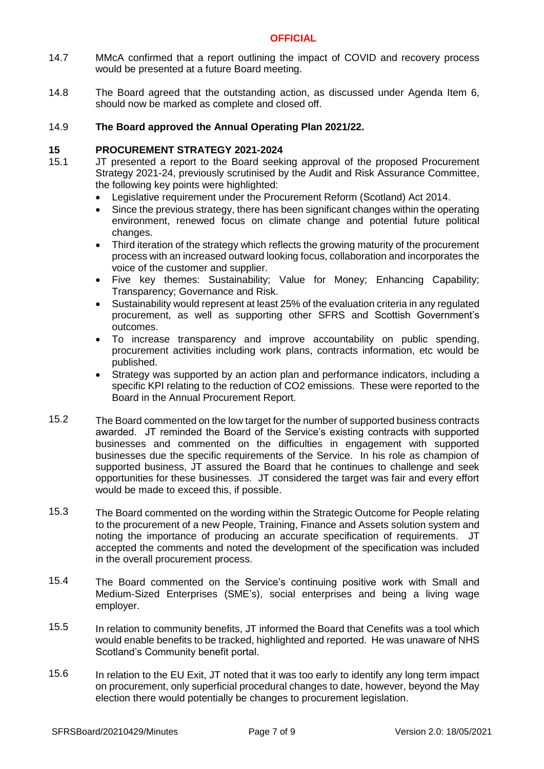- 14.7 MMcA confirmed that a report outlining the impact of COVID and recovery process would be presented at a future Board meeting.
- 14.8 The Board agreed that the outstanding action, as discussed under Agenda Item 6, should now be marked as complete and closed off.

#### 14.9 **The Board approved the Annual Operating Plan 2021/22.**

### **15 PROCUREMENT STRATEGY 2021-2024**

- 15.1 JT presented a report to the Board seeking approval of the proposed Procurement Strategy 2021-24, previously scrutinised by the Audit and Risk Assurance Committee, the following key points were highlighted:
	- Legislative requirement under the Procurement Reform (Scotland) Act 2014.
	- Since the previous strategy, there has been significant changes within the operating environment, renewed focus on climate change and potential future political changes.
	- Third iteration of the strategy which reflects the growing maturity of the procurement process with an increased outward looking focus, collaboration and incorporates the voice of the customer and supplier.
	- Five key themes: Sustainability; Value for Money; Enhancing Capability; Transparency; Governance and Risk.
	- Sustainability would represent at least 25% of the evaluation criteria in any regulated procurement, as well as supporting other SFRS and Scottish Government's outcomes.
	- To increase transparency and improve accountability on public spending, procurement activities including work plans, contracts information, etc would be published.
	- Strategy was supported by an action plan and performance indicators, including a specific KPI relating to the reduction of CO2 emissions. These were reported to the Board in the Annual Procurement Report.
- 15.2 The Board commented on the low target for the number of supported business contracts awarded. JT reminded the Board of the Service's existing contracts with supported businesses and commented on the difficulties in engagement with supported businesses due the specific requirements of the Service. In his role as champion of supported business, JT assured the Board that he continues to challenge and seek opportunities for these businesses. JT considered the target was fair and every effort would be made to exceed this, if possible.
- 15.3 The Board commented on the wording within the Strategic Outcome for People relating to the procurement of a new People, Training, Finance and Assets solution system and noting the importance of producing an accurate specification of requirements. JT accepted the comments and noted the development of the specification was included in the overall procurement process.
- 15.4 The Board commented on the Service's continuing positive work with Small and Medium-Sized Enterprises (SME's), social enterprises and being a living wage employer.
- 15.5 In relation to community benefits, JT informed the Board that Cenefits was a tool which would enable benefits to be tracked, highlighted and reported. He was unaware of NHS Scotland's Community benefit portal.
- 15.6 In relation to the EU Exit, JT noted that it was too early to identify any long term impact on procurement, only superficial procedural changes to date, however, beyond the May election there would potentially be changes to procurement legislation.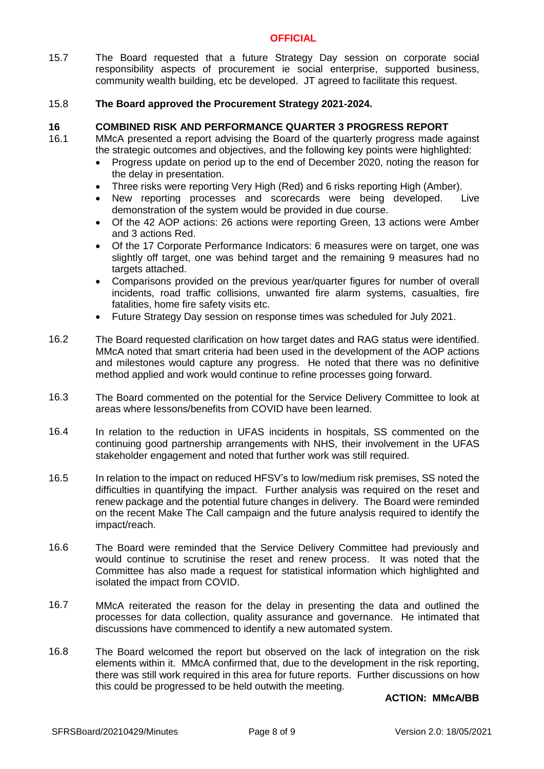15.7 The Board requested that a future Strategy Day session on corporate social responsibility aspects of procurement ie social enterprise, supported business, community wealth building, etc be developed. JT agreed to facilitate this request.

#### 15.8 **The Board approved the Procurement Strategy 2021-2024.**

### **16 COMBINED RISK AND PERFORMANCE QUARTER 3 PROGRESS REPORT**

- 16.1
	- MMcA presented a report advising the Board of the quarterly progress made against the strategic outcomes and objectives, and the following key points were highlighted:
		- Progress update on period up to the end of December 2020, noting the reason for the delay in presentation.
		- Three risks were reporting Very High (Red) and 6 risks reporting High (Amber).
		- New reporting processes and scorecards were being developed. Live demonstration of the system would be provided in due course.
		- Of the 42 AOP actions: 26 actions were reporting Green, 13 actions were Amber and 3 actions Red.
		- Of the 17 Corporate Performance Indicators: 6 measures were on target, one was slightly off target, one was behind target and the remaining 9 measures had no targets attached.
		- Comparisons provided on the previous year/quarter figures for number of overall incidents, road traffic collisions, unwanted fire alarm systems, casualties, fire fatalities, home fire safety visits etc.
		- Future Strategy Day session on response times was scheduled for July 2021.
- 16.2 The Board requested clarification on how target dates and RAG status were identified. MMcA noted that smart criteria had been used in the development of the AOP actions and milestones would capture any progress. He noted that there was no definitive method applied and work would continue to refine processes going forward.
- 16.3 The Board commented on the potential for the Service Delivery Committee to look at areas where lessons/benefits from COVID have been learned.
- 16.4 In relation to the reduction in UFAS incidents in hospitals, SS commented on the continuing good partnership arrangements with NHS, their involvement in the UFAS stakeholder engagement and noted that further work was still required.
- 16.5 In relation to the impact on reduced HFSV's to low/medium risk premises, SS noted the difficulties in quantifying the impact. Further analysis was required on the reset and renew package and the potential future changes in delivery. The Board were reminded on the recent Make The Call campaign and the future analysis required to identify the impact/reach.
- 16.6 The Board were reminded that the Service Delivery Committee had previously and would continue to scrutinise the reset and renew process. It was noted that the Committee has also made a request for statistical information which highlighted and isolated the impact from COVID.
- 16.7 MMcA reiterated the reason for the delay in presenting the data and outlined the processes for data collection, quality assurance and governance. He intimated that discussions have commenced to identify a new automated system.
- 16.8 The Board welcomed the report but observed on the lack of integration on the risk elements within it. MMcA confirmed that, due to the development in the risk reporting, there was still work required in this area for future reports. Further discussions on how this could be progressed to be held outwith the meeting.

### **ACTION: MMcA/BB**